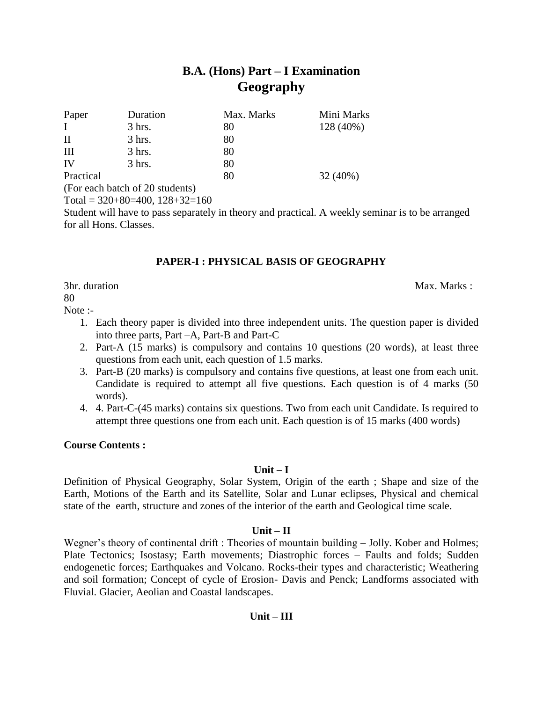# **B.A. (Hons) Part – I Examination Geography**

| Paper        | Duration                                       | Max. Marks | Mini Marks |
|--------------|------------------------------------------------|------------|------------|
| $\mathbf{I}$ | $3$ hrs.                                       | 80         | 128 (40%)  |
| $\rm II$     | $3$ hrs.                                       | 80         |            |
| Ш            | $3$ hrs.                                       | 80         |            |
| IV           | $3$ hrs.                                       | 80         |            |
| Practical    |                                                | 80         | $32(40\%)$ |
|              | $(\Gamma_{\alpha}$ and hotel of $20$ students) |            |            |

(For each batch of 20 students) Total =  $320+80=400$ ,  $128+32=160$ 

Student will have to pass separately in theory and practical. A weekly seminar is to be arranged for all Hons. Classes.

# **PAPER-I : PHYSICAL BASIS OF GEOGRAPHY**

3hr. duration Max. Marks : Max. Marks : Max. Marks : Max. Marks : Max. Marks : Max. Marks : Max. Marks :  $\frac{1}{2}$ 

80

Note :-

- 1. Each theory paper is divided into three independent units. The question paper is divided into three parts, Part –A, Part-B and Part-C
- 2. Part-A (15 marks) is compulsory and contains 10 questions (20 words), at least three questions from each unit, each question of 1.5 marks.
- 3. Part-B (20 marks) is compulsory and contains five questions, at least one from each unit. Candidate is required to attempt all five questions. Each question is of 4 marks (50 words).
- 4. 4. Part-C-(45 marks) contains six questions. Two from each unit Candidate. Is required to attempt three questions one from each unit. Each question is of 15 marks (400 words)

# **Course Contents :**

# **Unit – I**

Definition of Physical Geography, Solar System, Origin of the earth ; Shape and size of the Earth, Motions of the Earth and its Satellite, Solar and Lunar eclipses, Physical and chemical state of the earth, structure and zones of the interior of the earth and Geological time scale.

# **Unit – II**

Wegner's theory of continental drift : Theories of mountain building – Jolly. Kober and Holmes; Plate Tectonics; Isostasy; Earth movements; Diastrophic forces – Faults and folds; Sudden endogenetic forces; Earthquakes and Volcano. Rocks-their types and characteristic; Weathering and soil formation; Concept of cycle of Erosion- Davis and Penck; Landforms associated with Fluvial. Glacier, Aeolian and Coastal landscapes.

# **Unit – III**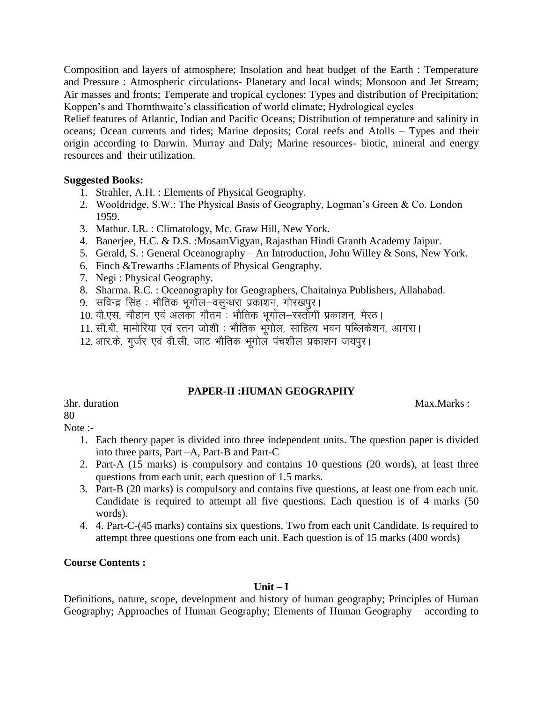Composition and layers of atmosphere; Insolation and heat budget of the Earth : Temperature and Pressure : Atmospheric circulations- Planetary and local winds; Monsoon and Jet Stream; Air masses and fronts; Temperate and tropical cyclones: Types and distribution of Precipitation; Koppen's and Thornthwaite's classification of world climate; Hydrological cycles

Relief features of Atlantic, Indian and Pacific Oceans; Distribution of temperature and salinity in oceans; Ocean currents and tides; Marine deposits; Coral reefs and Atolls – Types and their origin according to Darwin. Murray and Daly; Marine resources- biotic, mineral and energy resources and their utilization.

# **Suggested Books:**

- 1. Strahler, A.H. : Elements of Physical Geography.
- 2. Wooldridge, S.W.: The Physical Basis of Geography, Logman's Green & Co. London 1959.
- 3. Mathur. I.R. : Climatology, Mc. Graw Hill, New York.
- 4. Banerjee, H.C. & D.S. :MosamVigyan, Rajasthan Hindi Granth Academy Jaipur.
- 5. Gerald, S. : General Oceanography An Introduction, John Willey & Sons, New York.
- 6. Finch &Trewarths :Elaments of Physical Geography.
- 7. Negi : Physical Geography.
- 8. Sharma. R.C. : Oceanography for Geographers, Chaitainya Publishers, Allahabad.
- 9. सविन्द्र सिंह : भौतिक भूगोल–वसुन्धरा प्रकाशन, गोरखपुर।
- 10. वी.एस. चौहान एवं अलका गौतम : भौतिक भूगोल-रस्तोगी प्रकाशन, मेरठ।
- 11. सी.बी. मामोरिया एवं रतन जोशी : भौतिक भूगोल, साहित्य भवन पब्लिकेशन, आगरा।
- 12. आर.के. गर्जर एवं वी.सी. जाट भौतिक भगोल पंचशील प्रकाशन जयपुर।

# **PAPER-II :HUMAN GEOGRAPHY**

3hr. duration Max.Marks :

80

- Note :-
	- 1. Each theory paper is divided into three independent units. The question paper is divided into three parts, Part –A, Part-B and Part-C
	- 2. Part-A (15 marks) is compulsory and contains 10 questions (20 words), at least three questions from each unit, each question of 1.5 marks.
	- 3. Part-B (20 marks) is compulsory and contains five questions, at least one from each unit. Candidate is required to attempt all five questions. Each question is of 4 marks (50 words).
	- 4. 4. Part-C-(45 marks) contains six questions. Two from each unit Candidate. Is required to attempt three questions one from each unit. Each question is of 15 marks (400 words)

# **Course Contents :**

# **Unit – I**

Definitions, nature, scope, development and history of human geography; Principles of Human Geography; Approaches of Human Geography; Elements of Human Geography – according to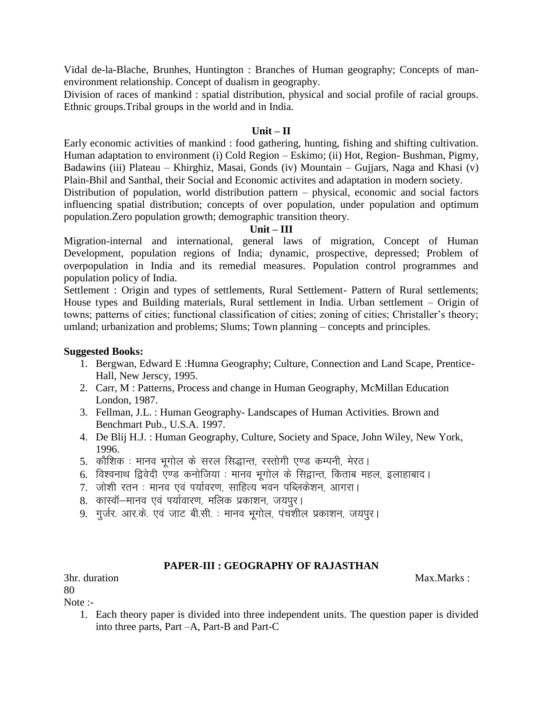Vidal de-la-Blache, Brunhes, Huntington : Branches of Human geography; Concepts of manenvironment relationship. Concept of dualism in geography.

Division of races of mankind : spatial distribution, physical and social profile of racial groups. Ethnic groups.Tribal groups in the world and in India.

# **Unit – II**

Early economic activities of mankind : food gathering, hunting, fishing and shifting cultivation. Human adaptation to environment (i) Cold Region – Eskimo; (ii) Hot, Region- Bushman, Pigmy, Badawins (iii) Plateau – Khirghiz, Masai, Gonds (iv) Mountain – Gujjars, Naga and Khasi (v) Plain-Bhil and Santhal, their Social and Economic activites and adaptation in modern society.

Distribution of population, world distribution pattern – physical, economic and social factors influencing spatial distribution; concepts of over population, under population and optimum population.Zero population growth; demographic transition theory.

#### **Unit – III**

Migration-internal and international, general laws of migration, Concept of Human Development, population regions of India; dynamic, prospective, depressed; Problem of overpopulation in India and its remedial measures. Population control programmes and population policy of India.

Settlement : Origin and types of settlements, Rural Settlement- Pattern of Rural settlements; House types and Building materials, Rural settlement in India. Urban settlement – Origin of towns; patterns of cities; functional classification of cities; zoning of cities; Christaller's theory; umland; urbanization and problems; Slums; Town planning – concepts and principles.

#### **Suggested Books:**

- 1. Bergwan, Edward E :Humna Geography; Culture, Connection and Land Scape, Prentice-Hall, New Jerscy, 1995.
- 2. Carr, M : Patterns, Process and change in Human Geography, McMillan Education London, 1987.
- 3. Fellman, J.L. : Human Geography- Landscapes of Human Activities. Brown and Benchmart Pub., U.S.A. 1997.
- 4. De Blij H.J. : Human Geography, Culture, Society and Space, John Wiley, New York, 1996.
- 5. कौशिक : मानव भूगोल के सरल सिद्धान्त, रस्तोगी एण्ड कम्पनी, मेरठ।
- 6. विश्वनाथ द्विवेदी एण्ड कनोजिया : मानव भूगोल के सिद्वान्त, किताब महल, इलाहाबाद।
- 7. जोशी रतन : मानव एवं पर्यावरण, साहित्य भवन पब्लिकेशन, आगरा।
- 8. कास्वॉ—मानव एवं पर्यावारण, मलिक प्रकाशन, जयपुर।
- 9. गुर्जर. आर.के. एवं जाट बी.सी. : मानव भूगोल, पंचशील प्रकाशन, जयपुर।

# **PAPER-III : GEOGRAPHY OF RAJASTHAN**

3hr. duration Max.Marks :

80

Note :-

1. Each theory paper is divided into three independent units. The question paper is divided into three parts, Part –A, Part-B and Part-C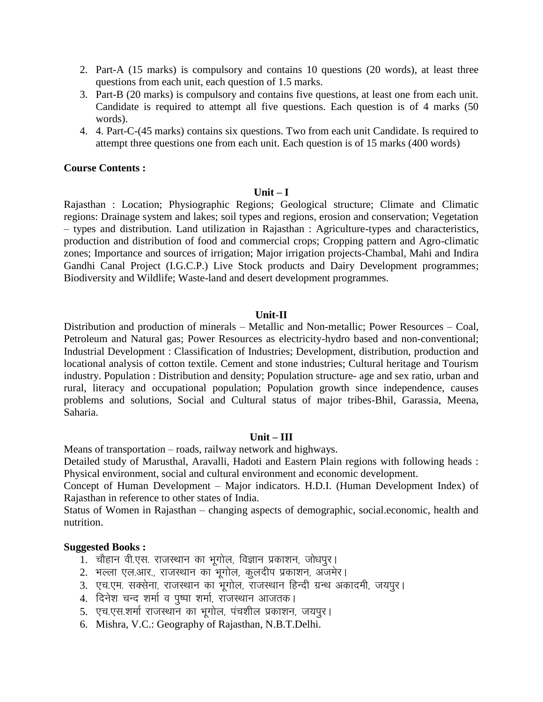- 2. Part-A (15 marks) is compulsory and contains 10 questions (20 words), at least three questions from each unit, each question of 1.5 marks.
- 3. Part-B (20 marks) is compulsory and contains five questions, at least one from each unit. Candidate is required to attempt all five questions. Each question is of 4 marks (50 words).
- 4. 4. Part-C-(45 marks) contains six questions. Two from each unit Candidate. Is required to attempt three questions one from each unit. Each question is of 15 marks (400 words)

#### **Unit – I**

Rajasthan : Location; Physiographic Regions; Geological structure; Climate and Climatic regions: Drainage system and lakes; soil types and regions, erosion and conservation; Vegetation – types and distribution. Land utilization in Rajasthan : Agriculture-types and characteristics, production and distribution of food and commercial crops; Cropping pattern and Agro-climatic zones; Importance and sources of irrigation; Major irrigation projects-Chambal, Mahi and Indira Gandhi Canal Project (I.G.C.P.) Live Stock products and Dairy Development programmes; Biodiversity and Wildlife; Waste-land and desert development programmes.

# **Unit-II**

Distribution and production of minerals – Metallic and Non-metallic; Power Resources – Coal, Petroleum and Natural gas; Power Resources as electricity-hydro based and non-conventional; Industrial Development : Classification of Industries; Development, distribution, production and locational analysis of cotton textile. Cement and stone industries; Cultural heritage and Tourism industry. Population : Distribution and density; Population structure- age and sex ratio, urban and rural, literacy and occupational population; Population growth since independence, causes problems and solutions, Social and Cultural status of major tribes-Bhil, Garassia, Meena, Saharia.

# **Unit – III**

Means of transportation – roads, railway network and highways.

Detailed study of Marusthal, Aravalli, Hadoti and Eastern Plain regions with following heads : Physical environment, social and cultural environment and economic development.

Concept of Human Development – Major indicators. H.D.I. (Human Development Index) of Rajasthan in reference to other states of India.

Status of Women in Rajasthan – changing aspects of demographic, social.economic, health and nutrition.

# **Suggested Books :**

- 1. pkSgku oh-,l- jktLFkku dk Hkwxksy] foKku izdk"ku] tks/kiqjA
- 2. भल्ला एल.आर., राजस्थान का भुगोल, कुलदीप प्रकाशन, अजमेर।
- 3. एच.एम. सक्सेना, राजस्थान का भुगोल, राजस्थान हिन्दी ग्रन्थ अकादमी, जयपुर।
- 4. दिनेश चन्द शर्मा व पूष्पा शर्मा, राजस्थान आजतक।
- 5. एच.एस.शर्मा राजस्थान का भूगोल, पंचशील प्रकाशन, जयपुर।
- 6. Mishra, V.C.: Geography of Rajasthan, N.B.T.Delhi.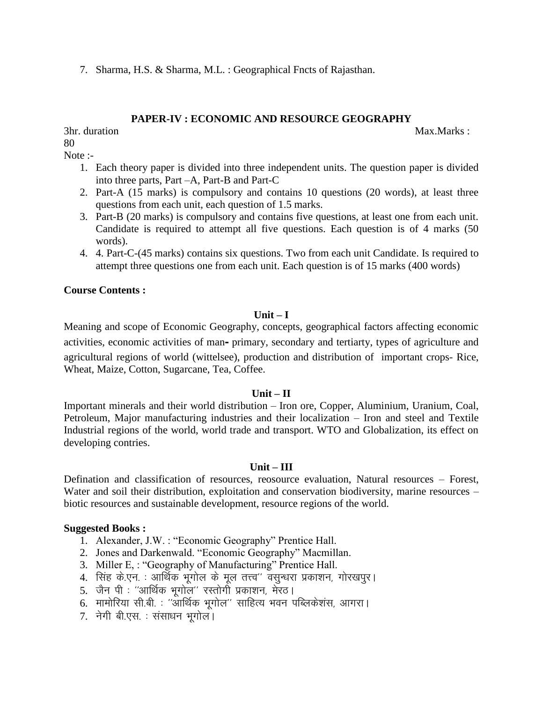7. Sharma, H.S. & Sharma, M.L. : Geographical Fncts of Rajasthan.

# **PAPER-IV : ECONOMIC AND RESOURCE GEOGRAPHY**

3hr. duration Max.Marks : 80

Note :-

- 1. Each theory paper is divided into three independent units. The question paper is divided into three parts, Part –A, Part-B and Part-C
- 2. Part-A (15 marks) is compulsory and contains 10 questions (20 words), at least three questions from each unit, each question of 1.5 marks.
- 3. Part-B (20 marks) is compulsory and contains five questions, at least one from each unit. Candidate is required to attempt all five questions. Each question is of 4 marks (50 words).
- 4. 4. Part-C-(45 marks) contains six questions. Two from each unit Candidate. Is required to attempt three questions one from each unit. Each question is of 15 marks (400 words)

# **Course Contents :**

# **Unit – I**

Meaning and scope of Economic Geography, concepts, geographical factors affecting economic activities, economic activities of man**-** primary, secondary and tertiarty, types of agriculture and agricultural regions of world (wittelsee), production and distribution of important crops- Rice, Wheat, Maize, Cotton, Sugarcane, Tea, Coffee.

# $Unit - II$

Important minerals and their world distribution – Iron ore, Copper, Aluminium, Uranium, Coal, Petroleum, Major manufacturing industries and their localization – Iron and steel and Textile Industrial regions of the world, world trade and transport. WTO and Globalization, its effect on developing contries.

#### **Unit – III**

Defination and classification of resources, reosource evaluation, Natural resources – Forest, Water and soil their distribution, exploitation and conservation biodiversity, marine resources – biotic resources and sustainable development, resource regions of the world.

# **Suggested Books :**

- 1. Alexander, J.W. : "Economic Geography" Prentice Hall.
- 2. Jones and Darkenwald. "Economic Geography" Macmillan.
- 3. Miller E, : "Geography of Manufacturing" Prentice Hall.
- 4. सिंह के.एन. : आर्थिक भूगोल के मूल तत्त्व'' वसुन्धरा प्रकाशन, गोरखपुर।
- 5. जैन पी : ''आर्थिक भगोल'' रस्तोगी प्रकाशन, मेरठ।
- 6. मामोरिया सी.बी. : ''आर्थिक भुगोल'' साहित्य भवन पब्लिकेशंस, आगरा।
- 7. नेगी बी.एस. : संसाधन भूगोल।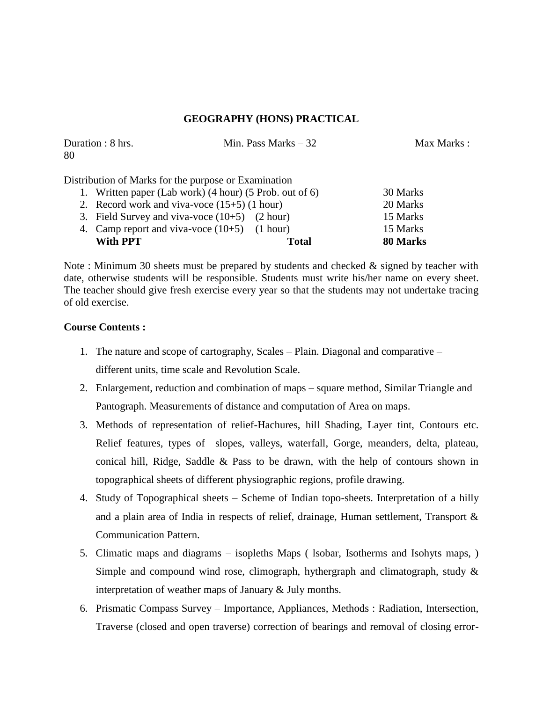# **GEOGRAPHY (HONS) PRACTICAL**

| Duration : 8 hrs.<br>80                              | Min. Pass Marks $-32$                                                                                                                                                                                                                                                                                                                                                                | Max Marks : |
|------------------------------------------------------|--------------------------------------------------------------------------------------------------------------------------------------------------------------------------------------------------------------------------------------------------------------------------------------------------------------------------------------------------------------------------------------|-------------|
| Distribution of Marks for the purpose or Examination |                                                                                                                                                                                                                                                                                                                                                                                      |             |
|                                                      | 1. Written paper (Lab work) (4 hour) (5 Prob. out of 6)                                                                                                                                                                                                                                                                                                                              | 30 Marks    |
|                                                      | 2. Record work and viva-voce $(15+5)$ (1 hour)                                                                                                                                                                                                                                                                                                                                       |             |
|                                                      | 3. Field Survey and viva-voce $(10+5)$ $(2 hour)$                                                                                                                                                                                                                                                                                                                                    | 15 Marks    |
|                                                      | $\overline{A}$ $\overline{C}$ $\overline{A}$ $\overline{C}$ $\overline{A}$ $\overline{C}$ $\overline{C}$ $\overline{C}$ $\overline{C}$ $\overline{C}$ $\overline{C}$ $\overline{C}$ $\overline{C}$ $\overline{C}$ $\overline{C}$ $\overline{C}$ $\overline{C}$ $\overline{C}$ $\overline{C}$ $\overline{C}$ $\overline{C}$ $\overline{C}$ $\overline{C}$ $\overline{C}$ $\overline{$ | 17371       |

4. Camp report and viva-voce (10+5) (1 hour) 15 Marks **With PPT Total 80 Marks** 

Note : Minimum 30 sheets must be prepared by students and checked & signed by teacher with date, otherwise students will be responsible. Students must write his/her name on every sheet. The teacher should give fresh exercise every year so that the students may not undertake tracing of old exercise.

# **Course Contents :**

- 1. The nature and scope of cartography, Scales Plain. Diagonal and comparative different units, time scale and Revolution Scale.
- 2. Enlargement, reduction and combination of maps square method, Similar Triangle and Pantograph. Measurements of distance and computation of Area on maps.
- 3. Methods of representation of relief-Hachures, hill Shading, Layer tint, Contours etc. Relief features, types of slopes, valleys, waterfall, Gorge, meanders, delta, plateau, conical hill, Ridge, Saddle & Pass to be drawn, with the help of contours shown in topographical sheets of different physiographic regions, profile drawing.
- 4. Study of Topographical sheets Scheme of Indian topo-sheets. Interpretation of a hilly and a plain area of India in respects of relief, drainage, Human settlement, Transport & Communication Pattern.
- 5. Climatic maps and diagrams isopleths Maps ( lsobar, Isotherms and Isohyts maps, ) Simple and compound wind rose, climograph, hythergraph and climatograph, study & interpretation of weather maps of January & July months.
- 6. Prismatic Compass Survey Importance, Appliances, Methods : Radiation, Intersection, Traverse (closed and open traverse) correction of bearings and removal of closing error-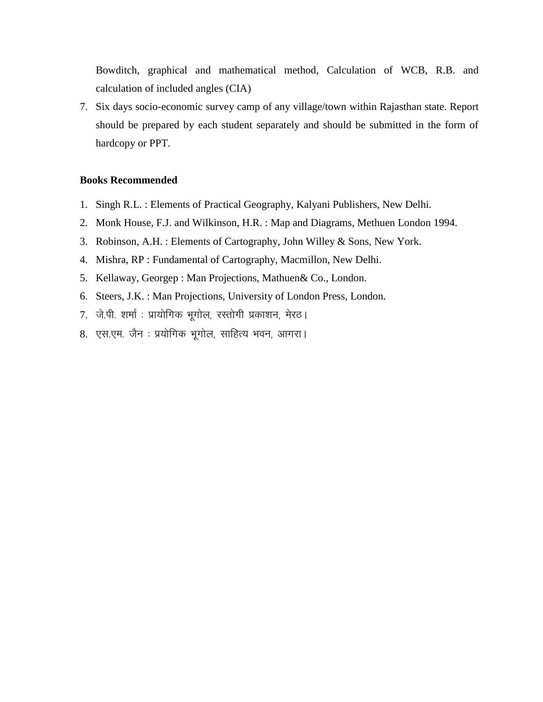Bowditch, graphical and mathematical method, Calculation of WCB, R.B. and calculation of included angles (CIA)

7. Six days socio-economic survey camp of any village/town within Rajasthan state. Report should be prepared by each student separately and should be submitted in the form of hardcopy or PPT.

#### **Books Recommended**

- 1. Singh R.L. : Elements of Practical Geography, Kalyani Publishers, New Delhi.
- 2. Monk House, F.J. and Wilkinson, H.R. : Map and Diagrams, Methuen London 1994.
- 3. Robinson, A.H. : Elements of Cartography, John Willey & Sons, New York.
- 4. Mishra, RP : Fundamental of Cartography, Macmillon, New Delhi.
- 5. Kellaway, Georgep : Man Projections, Mathuen& Co., London.
- 6. Steers, J.K. : Man Projections, University of London Press, London.
- 7. जे.पी. शर्मा: प्रायोगिक भूगोल, रस्तोगी प्रकाशन, मेरठ।
- 8. एस.एम. जैन : प्रयोगिक भूगोल, साहित्य भवन, आगरा।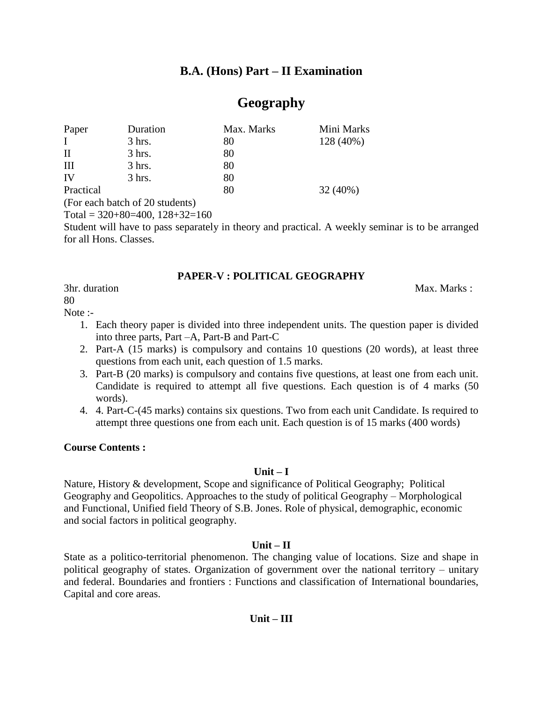# **B.A. (Hons) Part – II Examination**

# **Geography**

| Paper        | Duration | Max. Marks | Mini Marks |
|--------------|----------|------------|------------|
| $\mathbf{I}$ | $3$ hrs. | 80         | 128 (40%)  |
| $\rm II$     | $3$ hrs. | 80         |            |
| Ш            | $3$ hrs. | 80         |            |
| IV           | $3$ hrs. | 80         |            |
| Practical    |          | 80         | $32(40\%)$ |
|              |          |            |            |

(For each batch of 20 students)

Total =  $320+80=400$ ,  $128+32=160$ 

Student will have to pass separately in theory and practical. A weekly seminar is to be arranged for all Hons. Classes.

# **PAPER-V : POLITICAL GEOGRAPHY**

3hr. duration Max. Marks : Max. Marks : Max. Marks : Max. Marks : Max. Marks : Max. Marks : Max. Marks : Max. Marks :  $\mathbf{M}$ 

80

Note :-

- 1. Each theory paper is divided into three independent units. The question paper is divided into three parts, Part –A, Part-B and Part-C
- 2. Part-A (15 marks) is compulsory and contains 10 questions (20 words), at least three questions from each unit, each question of 1.5 marks.
- 3. Part-B (20 marks) is compulsory and contains five questions, at least one from each unit. Candidate is required to attempt all five questions. Each question is of 4 marks (50 words).
- 4. 4. Part-C-(45 marks) contains six questions. Two from each unit Candidate. Is required to attempt three questions one from each unit. Each question is of 15 marks (400 words)

# **Course Contents :**

# **Unit – I**

Nature, History & development, Scope and significance of Political Geography; Political Geography and Geopolitics. Approaches to the study of political Geography – Morphological and Functional, Unified field Theory of S.B. Jones. Role of physical, demographic, economic and social factors in political geography.

# **Unit – II**

State as a politico-territorial phenomenon. The changing value of locations. Size and shape in political geography of states. Organization of government over the national territory – unitary and federal. Boundaries and frontiers : Functions and classification of International boundaries, Capital and core areas.

# **Unit – III**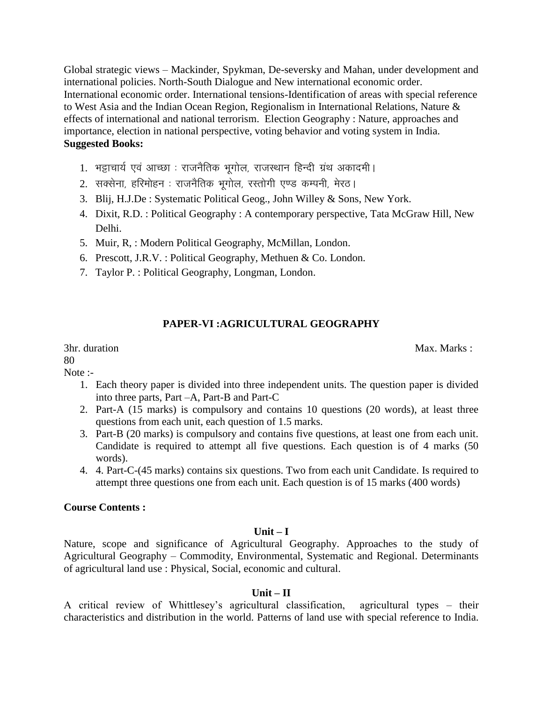Global strategic views – Mackinder, Spykman, De-seversky and Mahan, under development and international policies. North-South Dialogue and New international economic order. International economic order. International tensions-Identification of areas with special reference to West Asia and the Indian Ocean Region, Regionalism in International Relations, Nature & effects of international and national terrorism. Election Geography : Nature, approaches and importance, election in national perspective, voting behavior and voting system in India. **Suggested Books:**

- 1. भट्टाचार्य एवं आच्छा : राजनैतिक भूगोल, राजस्थान हिन्दी ग्रंथ अकादमी ।
- 2. सक्सेना, हरिमोहन : राजनैतिक भूगोल, रस्तोगी एण्ड कम्पनी, मेरठ।
- 3. Blij, H.J.De : Systematic Political Geog., John Willey & Sons, New York.
- 4. Dixit, R.D. : Political Geography : A contemporary perspective, Tata McGraw Hill, New Delhi.
- 5. Muir, R, : Modern Political Geography, McMillan, London.
- 6. Prescott, J.R.V. : Political Geography, Methuen & Co. London.
- 7. Taylor P. : Political Geography, Longman, London.

# **PAPER-VI :AGRICULTURAL GEOGRAPHY**

80

Note :-

- 1. Each theory paper is divided into three independent units. The question paper is divided into three parts, Part –A, Part-B and Part-C
- 2. Part-A (15 marks) is compulsory and contains 10 questions (20 words), at least three questions from each unit, each question of 1.5 marks.
- 3. Part-B (20 marks) is compulsory and contains five questions, at least one from each unit. Candidate is required to attempt all five questions. Each question is of 4 marks (50 words).
- 4. 4. Part-C-(45 marks) contains six questions. Two from each unit Candidate. Is required to attempt three questions one from each unit. Each question is of 15 marks (400 words)

# **Course Contents :**

# **Unit – I**

Nature, scope and significance of Agricultural Geography. Approaches to the study of Agricultural Geography – Commodity, Environmental, Systematic and Regional. Determinants of agricultural land use : Physical, Social, economic and cultural.

# $Unit - II$

A critical review of Whittlesey's agricultural classification, agricultural types – their characteristics and distribution in the world. Patterns of land use with special reference to India.

3hr. duration Max. Marks : 2008. Max. Marks : 2008. Max. Marks : 2008. Max. Marks : 2008. Max. Marks : 2008. Max. Marks : 2008. Max. Marks : 2008. Max. Marks : 2008. Max. Marks : 2008. Max. Marks : 2008. Max. Marks : 2008.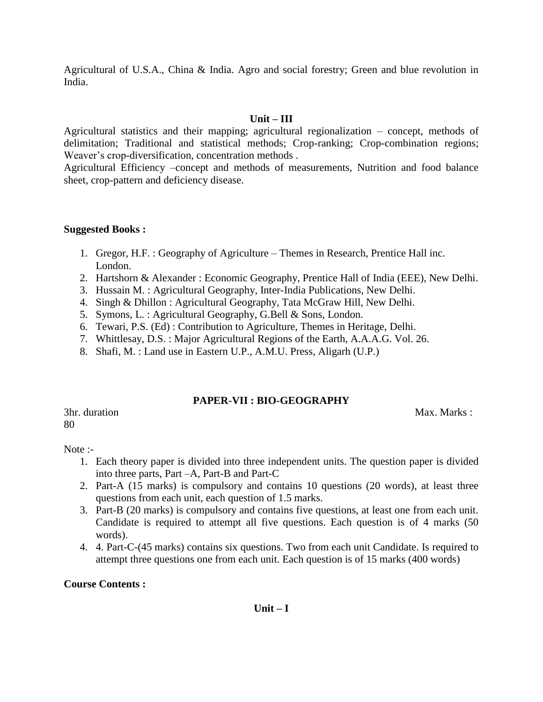Agricultural of U.S.A., China & India. Agro and social forestry; Green and blue revolution in India.

# **Unit – III**

Agricultural statistics and their mapping; agricultural regionalization – concept, methods of delimitation; Traditional and statistical methods; Crop-ranking; Crop-combination regions; Weaver's crop-diversification, concentration methods .

Agricultural Efficiency –concept and methods of measurements, Nutrition and food balance sheet, crop-pattern and deficiency disease.

#### **Suggested Books :**

- 1. Gregor, H.F. : Geography of Agriculture Themes in Research, Prentice Hall inc. London.
- 2. Hartshorn & Alexander : Economic Geography, Prentice Hall of India (EEE), New Delhi.
- 3. Hussain M. : Agricultural Geography, Inter-India Publications, New Delhi.
- 4. Singh & Dhillon : Agricultural Geography, Tata McGraw Hill, New Delhi.
- 5. Symons, L. : Agricultural Geography, G.Bell & Sons, London.
- 6. Tewari, P.S. (Ed) : Contribution to Agriculture, Themes in Heritage, Delhi.
- 7. Whittlesay, D.S. : Major Agricultural Regions of the Earth, A.A.A.G. Vol. 26.
- 8. Shafi, M. : Land use in Eastern U.P., A.M.U. Press, Aligarh (U.P.)

# **PAPER-VII : BIO-GEOGRAPHY**

80

3hr. duration Max. Marks : 2004. Max. Marks : 2004. Max. Marks : 2004. Max. Marks : 2004. Max. Marks : 2004. Max. Marks : 2004. Max. Marks : 2004. Max. Marks : 2004. Max. Marks : 2004. Max. Marks : 2004. Max. Marks : 2004.

Note :-

- 1. Each theory paper is divided into three independent units. The question paper is divided into three parts, Part –A, Part-B and Part-C
- 2. Part-A (15 marks) is compulsory and contains 10 questions (20 words), at least three questions from each unit, each question of 1.5 marks.
- 3. Part-B (20 marks) is compulsory and contains five questions, at least one from each unit. Candidate is required to attempt all five questions. Each question is of 4 marks (50 words).
- 4. 4. Part-C-(45 marks) contains six questions. Two from each unit Candidate. Is required to attempt three questions one from each unit. Each question is of 15 marks (400 words)

# **Course Contents :**

# **Unit – I**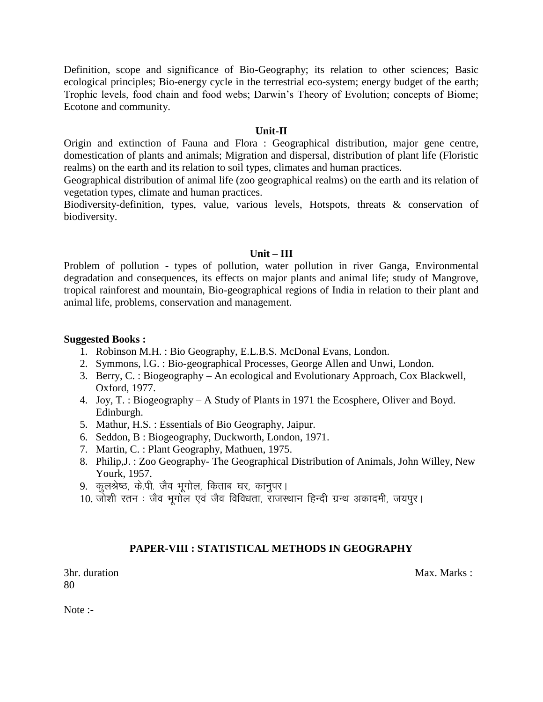Definition, scope and significance of Bio-Geography; its relation to other sciences; Basic ecological principles; Bio-energy cycle in the terrestrial eco-system; energy budget of the earth; Trophic levels, food chain and food webs; Darwin's Theory of Evolution; concepts of Biome; Ecotone and community.

#### **Unit-II**

Origin and extinction of Fauna and Flora : Geographical distribution, major gene centre, domestication of plants and animals; Migration and dispersal, distribution of plant life (Floristic realms) on the earth and its relation to soil types, climates and human practices.

Geographical distribution of animal life (zoo geographical realms) on the earth and its relation of vegetation types, climate and human practices.

Biodiversity-definition, types, value, various levels, Hotspots, threats & conservation of biodiversity.

#### **Unit – III**

Problem of pollution - types of pollution, water pollution in river Ganga, Environmental degradation and consequences, its effects on major plants and animal life; study of Mangrove, tropical rainforest and mountain, Bio-geographical regions of India in relation to their plant and animal life, problems, conservation and management.

#### **Suggested Books :**

- 1. Robinson M.H. : Bio Geography, E.L.B.S. McDonal Evans, London.
- 2. Symmons, l.G. : Bio-geographical Processes, George Allen and Unwi, London.
- 3. Berry, C. : Biogeography An ecological and Evolutionary Approach, Cox Blackwell, Oxford, 1977.
- 4. Joy, T. : Biogeography A Study of Plants in 1971 the Ecosphere, Oliver and Boyd. Edinburgh.
- 5. Mathur, H.S. : Essentials of Bio Geography, Jaipur.
- 6. Seddon, B : Biogeography, Duckworth, London, 1971.
- 7. Martin, C. : Plant Geography, Mathuen, 1975.
- 8. Philip,J. : Zoo Geography- The Geographical Distribution of Animals, John Willey, New Yourk, 1957.
- 9. कुलश्रेष्ठ, के.पी. जैव भूगोल, किताब घर, कानुपर।
- 10. जोशी रतन : जैव भूगोल एवं जैव विविधता, राजस्थान हिन्दी ग्रन्थ अकादमी, जयपर।

# **PAPER-VIII : STATISTICAL METHODS IN GEOGRAPHY**

3hr. duration Max. Marks : 2008. Max. Marks : 2008. Max. Marks : 2008. Max. Marks : 2008. Max. Marks : 2008. Max. Marks : 2008. Max. Marks : 2008. Max. Marks : 2008. Max. Marks : 2008. Max. Marks : 2008. Max. Marks : 2008. 80

Note :-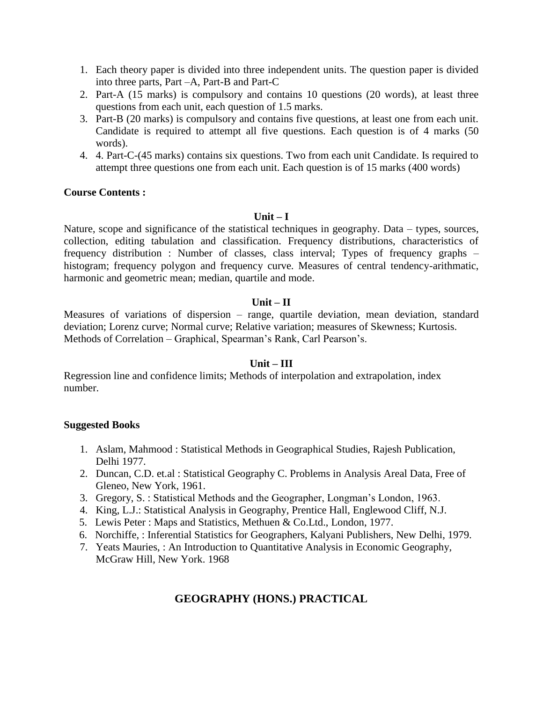- 1. Each theory paper is divided into three independent units. The question paper is divided into three parts, Part –A, Part-B and Part-C
- 2. Part-A (15 marks) is compulsory and contains 10 questions (20 words), at least three questions from each unit, each question of 1.5 marks.
- 3. Part-B (20 marks) is compulsory and contains five questions, at least one from each unit. Candidate is required to attempt all five questions. Each question is of 4 marks (50 words).
- 4. 4. Part-C-(45 marks) contains six questions. Two from each unit Candidate. Is required to attempt three questions one from each unit. Each question is of 15 marks (400 words)

#### **Unit – I**

Nature, scope and significance of the statistical techniques in geography. Data – types, sources, collection, editing tabulation and classification. Frequency distributions, characteristics of frequency distribution : Number of classes, class interval; Types of frequency graphs – histogram; frequency polygon and frequency curve. Measures of central tendency-arithmatic, harmonic and geometric mean; median, quartile and mode.

# **Unit – II**

Measures of variations of dispersion – range, quartile deviation, mean deviation, standard deviation; Lorenz curve; Normal curve; Relative variation; measures of Skewness; Kurtosis. Methods of Correlation – Graphical, Spearman's Rank, Carl Pearson's.

# **Unit – III**

Regression line and confidence limits; Methods of interpolation and extrapolation, index number.

# **Suggested Books**

- 1. Aslam, Mahmood : Statistical Methods in Geographical Studies, Rajesh Publication, Delhi 1977.
- 2. Duncan, C.D. et.al : Statistical Geography C. Problems in Analysis Areal Data, Free of Gleneo, New York, 1961.
- 3. Gregory, S. : Statistical Methods and the Geographer, Longman's London, 1963.
- 4. King, L.J.: Statistical Analysis in Geography, Prentice Hall, Englewood Cliff, N.J.
- 5. Lewis Peter : Maps and Statistics, Methuen & Co.Ltd., London, 1977.
- 6. Norchiffe, : Inferential Statistics for Geographers, Kalyani Publishers, New Delhi, 1979.
- 7. Yeats Mauries, : An Introduction to Quantitative Analysis in Economic Geography, McGraw Hill, New York. 1968

# **GEOGRAPHY (HONS.) PRACTICAL**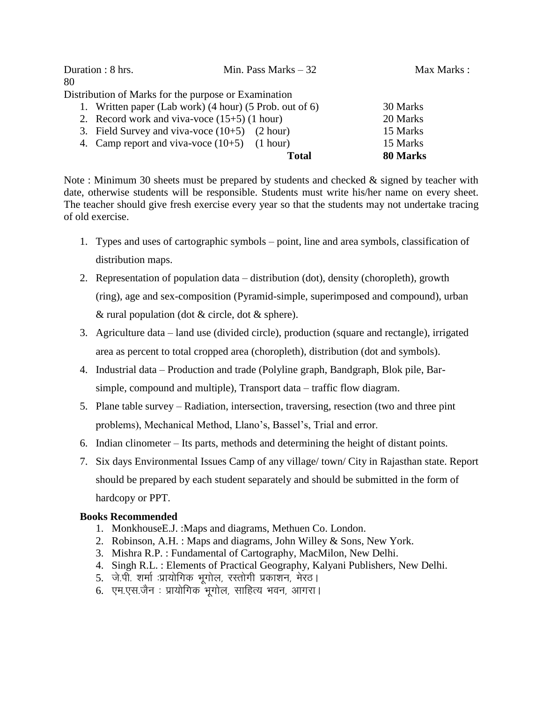| Duration : 8 hrs. | Min. Pass Marks $-32$                                   | Max Marks : |
|-------------------|---------------------------------------------------------|-------------|
| 80                |                                                         |             |
|                   | Distribution of Marks for the purpose or Examination    |             |
|                   | 1. Written paper (Lab work) (4 hour) (5 Prob. out of 6) | 30 Marks    |
|                   | 2. Record work and viva-voce $(15+5)$ (1 hour)          | 20 Marks    |
|                   | 3. Field Survey and viva-voce $(10+5)$ $(2 hour)$       | 15 Marks    |
|                   | 4. Camp report and viva-voce $(10+5)$ $(1 hour)$        | 15 Marks    |
|                   | <b>Total</b>                                            | 80 Marks    |

Note : Minimum 30 sheets must be prepared by students and checked & signed by teacher with date, otherwise students will be responsible. Students must write his/her name on every sheet. The teacher should give fresh exercise every year so that the students may not undertake tracing of old exercise.

- 1. Types and uses of cartographic symbols point, line and area symbols, classification of distribution maps.
- 2. Representation of population data distribution (dot), density (choropleth), growth (ring), age and sex-composition (Pyramid-simple, superimposed and compound), urban & rural population (dot & circle, dot & sphere).
- 3. Agriculture data land use (divided circle), production (square and rectangle), irrigated area as percent to total cropped area (choropleth), distribution (dot and symbols).
- 4. Industrial data Production and trade (Polyline graph, Bandgraph, Blok pile, Barsimple, compound and multiple), Transport data – traffic flow diagram.
- 5. Plane table survey Radiation, intersection, traversing, resection (two and three pint problems), Mechanical Method, Llano's, Bassel's, Trial and error.
- 6. Indian clinometer Its parts, methods and determining the height of distant points.
- 7. Six days Environmental Issues Camp of any village/ town/ City in Rajasthan state. Report should be prepared by each student separately and should be submitted in the form of hardcopy or PPT.

# **Books Recommended**

- 1. MonkhouseE.J. :Maps and diagrams, Methuen Co. London.
- 2. Robinson, A.H. : Maps and diagrams, John Willey & Sons, New York.
- 3. Mishra R.P. : Fundamental of Cartography, MacMilon, New Delhi.
- 4. Singh R.L. : Elements of Practical Geography, Kalyani Publishers, New Delhi.
- 5. जे.पी. शर्मा :प्रायोगिक भूगोल, रस्तोगी प्रकाशन, मेरठ।
- 6. एम.एस.जैन : प्रायोगिक भुगोल, साहित्य भवन, आगरा।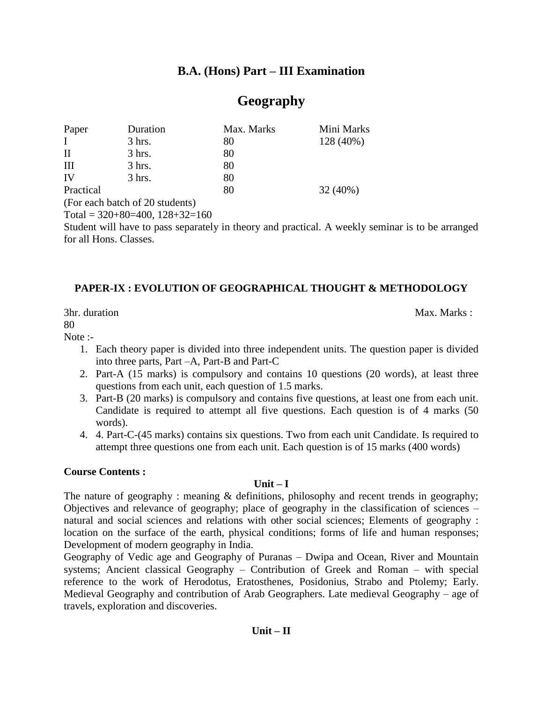# **B.A. (Hons) Part – III Examination**

# **Geography**

| Paper        | Duration | Max. Marks | Mini Marks |
|--------------|----------|------------|------------|
| $\mathbf{I}$ | $3$ hrs. | 80         | 128 (40%)  |
| П            | $3$ hrs. | 80         |            |
| Ш            | $3$ hrs. | 80         |            |
| IV           | $3$ hrs. | 80         |            |
| Practical    |          | 80         | 32(40%)    |
|              |          |            |            |

(For each batch of 20 students)

Total =  $320+80=400$ ,  $128+32=160$ 

Student will have to pass separately in theory and practical. A weekly seminar is to be arranged for all Hons. Classes.

# **PAPER-IX : EVOLUTION OF GEOGRAPHICAL THOUGHT & METHODOLOGY**

3hr. duration Max. Marks : 2008. Max. Marks : 2008. Max. Marks : 2008. Max. Marks : 2008. Max. Marks : 2008. Max. Marks : 2008. Max. Marks : 2008. Max. Marks : 2008. Max. Marks : 2008. Max. Marks : 2008. Max. Marks : 2008. 80

#### Note :-

- 1. Each theory paper is divided into three independent units. The question paper is divided into three parts, Part –A, Part-B and Part-C
- 2. Part-A (15 marks) is compulsory and contains 10 questions (20 words), at least three questions from each unit, each question of 1.5 marks.
- 3. Part-B (20 marks) is compulsory and contains five questions, at least one from each unit. Candidate is required to attempt all five questions. Each question is of 4 marks (50 words).
- 4. 4. Part-C-(45 marks) contains six questions. Two from each unit Candidate. Is required to attempt three questions one from each unit. Each question is of 15 marks (400 words)

# **Course Contents :**

# **Unit – I**

The nature of geography: meaning & definitions, philosophy and recent trends in geography; Objectives and relevance of geography; place of geography in the classification of sciences – natural and social sciences and relations with other social sciences; Elements of geography : location on the surface of the earth, physical conditions; forms of life and human responses; Development of modern geography in India.

Geography of Vedic age and Geography of Puranas – Dwipa and Ocean, River and Mountain systems; Ancient classical Geography – Contribution of Greek and Roman – with special reference to the work of Herodotus, Eratosthenes, Posidonius, Strabo and Ptolemy; Early. Medieval Geography and contribution of Arab Geographers. Late medieval Geography – age of travels, exploration and discoveries.

# **Unit – II**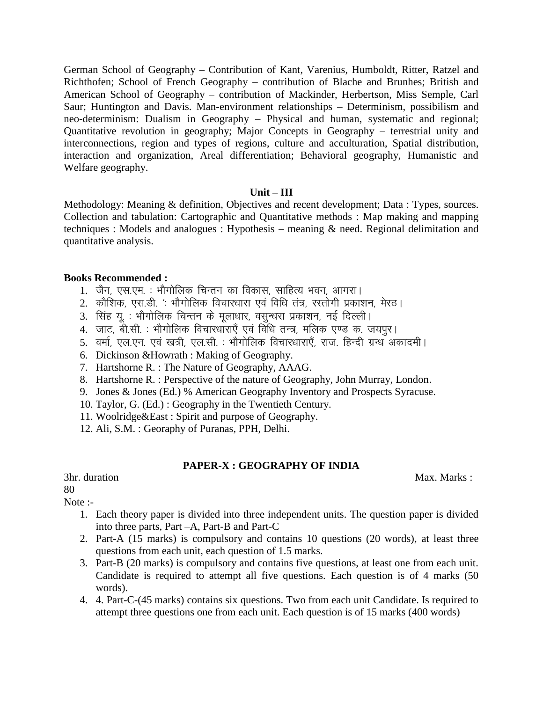German School of Geography – Contribution of Kant, Varenius, Humboldt, Ritter, Ratzel and Richthofen; School of French Geography – contribution of Blache and Brunhes; British and American School of Geography – contribution of Mackinder, Herbertson, Miss Semple, Carl Saur; Huntington and Davis. Man-environment relationships – Determinism, possibilism and neo-determinism: Dualism in Geography – Physical and human, systematic and regional; Quantitative revolution in geography; Major Concepts in Geography – terrestrial unity and interconnections, region and types of regions, culture and acculturation, Spatial distribution, interaction and organization, Areal differentiation; Behavioral geography, Humanistic and Welfare geography.

# **Unit – III**

Methodology: Meaning & definition, Objectives and recent development; Data : Types, sources. Collection and tabulation: Cartographic and Quantitative methods : Map making and mapping techniques : Models and analogues : Hypothesis – meaning & need. Regional delimitation and quantitative analysis.

# **Books Recommended :**

- 1. जैन, एस.एम. : भौगोलिक चिन्तन का विकास, साहित्य भवन, आगरा।
- 2. कौशिक, एस.डी. ' भौगोलिक विचारधारा एवं विधि तंत्र, रस्तोगी प्रकाशन, मेरठ।
- 3. सिंह यू. : भौगोलिक चिन्तन के मुलाधार, वसन्धरा प्रकाशन, नई दिल्ली।
- 4. जाट, बी.सी. : भौगोलिक विचारधाराएँ एवं विधि तन्त्र, मलिक एण्ड क. जयपर।
- 5. वर्मा, एल.एन. एवं खत्री, एल.सी. : भौगोलिक विचारधाराएँ, राज. हिन्दी ग्रन्ध अकादमी।
- 6. Dickinson &Howrath : Making of Geography.
- 7. Hartshorne R. : The Nature of Geography, AAAG.
- 8. Hartshorne R. : Perspective of the nature of Geography, John Murray, London.
- 9. Jones & Jones (Ed.) % American Geography Inventory and Prospects Syracuse.
- 10. Taylor, G. (Ed.) : Geography in the Twentieth Century.
- 11. Woolridge&East : Spirit and purpose of Geography.
- 12. Ali, S.M. : Georaphy of Puranas, PPH, Delhi.

# **PAPER-X : GEOGRAPHY OF INDIA**

80

Note :-

- 1. Each theory paper is divided into three independent units. The question paper is divided into three parts, Part –A, Part-B and Part-C
- 2. Part-A (15 marks) is compulsory and contains 10 questions (20 words), at least three questions from each unit, each question of 1.5 marks.
- 3. Part-B (20 marks) is compulsory and contains five questions, at least one from each unit. Candidate is required to attempt all five questions. Each question is of 4 marks (50 words).
- 4. 4. Part-C-(45 marks) contains six questions. Two from each unit Candidate. Is required to attempt three questions one from each unit. Each question is of 15 marks (400 words)

3hr. duration Max. Marks : Max. Marks : Max. Marks : Max. Marks : Max. Marks : Max. Marks : Max. Marks : Max. Marks :  $\mathbf{M}$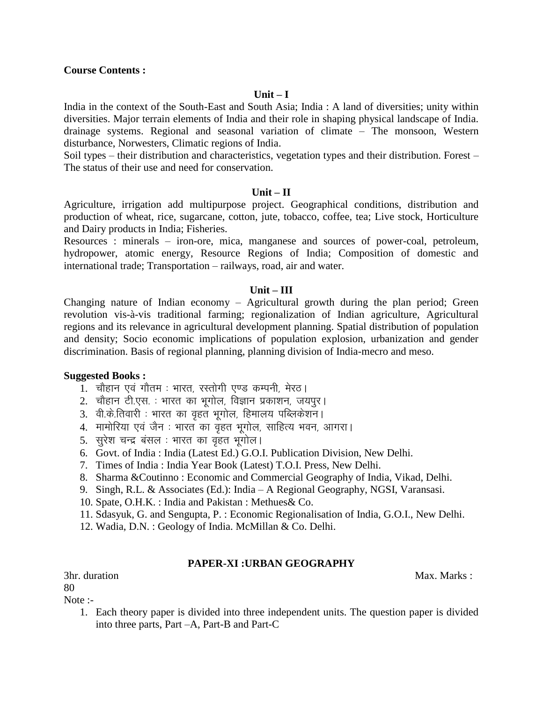#### **Unit – I**

India in the context of the South-East and South Asia; India : A land of diversities; unity within diversities. Major terrain elements of India and their role in shaping physical landscape of India. drainage systems. Regional and seasonal variation of climate – The monsoon, Western disturbance, Norwesters, Climatic regions of India.

Soil types – their distribution and characteristics, vegetation types and their distribution. Forest – The status of their use and need for conservation.

#### **Unit – II**

Agriculture, irrigation add multipurpose project. Geographical conditions, distribution and production of wheat, rice, sugarcane, cotton, jute, tobacco, coffee, tea; Live stock, Horticulture and Dairy products in India; Fisheries.

Resources : minerals – iron-ore, mica, manganese and sources of power-coal, petroleum, hydropower, atomic energy, Resource Regions of India; Composition of domestic and international trade; Transportation – railways, road, air and water.

#### **Unit – III**

Changing nature of Indian economy – Agricultural growth during the plan period; Green revolution vis-à-vis traditional farming; regionalization of Indian agriculture, Agricultural regions and its relevance in agricultural development planning. Spatial distribution of population and density; Socio economic implications of population explosion, urbanization and gender discrimination. Basis of regional planning, planning division of India-mecro and meso.

#### **Suggested Books :**

- 1. चौहान एवं गौतम : भारत, रस्तोगी एण्ड कम्पनी, मेरठ।
- 2. चौहान टी.एस. : भारत का भूगोल, विज्ञान प्रकाशन, जयपुर।
- 3. वी.के.तिवारी : भारत का वृहत भूगोल, हिमालय पब्लिकेशन।
- 4. मामोरिया एवं जैन : भारत का वृहत भूगोल, साहित्य भवन, आगरा।
- 5. सुरेश चन्द्र बंसल : भारत का वृहत भूगोल।
- 6. Govt. of India : India (Latest Ed.) G.O.I. Publication Division, New Delhi.
- 7. Times of India : India Year Book (Latest) T.O.I. Press, New Delhi.
- 8. Sharma &Coutinno : Economic and Commercial Geography of India, Vikad, Delhi.
- 9. Singh, R.L. & Associates (Ed.): India A Regional Geography, NGSI, Varansasi.
- 10. Spate, O.H.K. : India and Pakistan : Methues& Co.
- 11. Sdasyuk, G. and Sengupta, P. : Economic Regionalisation of India, G.O.I., New Delhi.
- 12. Wadia, D.N. : Geology of India. McMillan & Co. Delhi.

#### **PAPER-XI :URBAN GEOGRAPHY**

3hr. duration Max. Marks : Max. Marks : Max. Marks : Max. Marks : Max. Marks : Max. Marks : Max. Marks : Max. Marks :  $\frac{1}{2}$ 

80

Note :-

1. Each theory paper is divided into three independent units. The question paper is divided into three parts, Part –A, Part-B and Part-C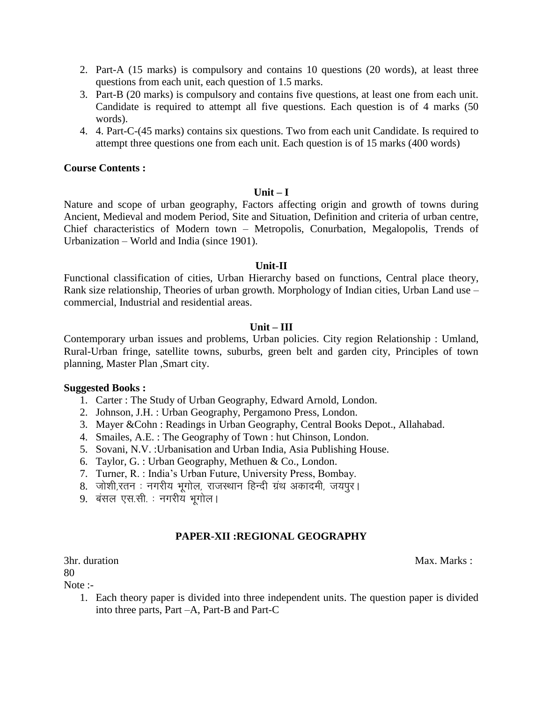- 2. Part-A (15 marks) is compulsory and contains 10 questions (20 words), at least three questions from each unit, each question of 1.5 marks.
- 3. Part-B (20 marks) is compulsory and contains five questions, at least one from each unit. Candidate is required to attempt all five questions. Each question is of 4 marks (50 words).
- 4. 4. Part-C-(45 marks) contains six questions. Two from each unit Candidate. Is required to attempt three questions one from each unit. Each question is of 15 marks (400 words)

#### **Unit – I**

Nature and scope of urban geography, Factors affecting origin and growth of towns during Ancient, Medieval and modem Period, Site and Situation, Definition and criteria of urban centre, Chief characteristics of Modern town – Metropolis, Conurbation, Megalopolis, Trends of Urbanization – World and India (since 1901).

#### **Unit-II**

Functional classification of cities, Urban Hierarchy based on functions, Central place theory, Rank size relationship, Theories of urban growth. Morphology of Indian cities, Urban Land use – commercial, Industrial and residential areas.

#### **Unit – III**

Contemporary urban issues and problems, Urban policies. City region Relationship : Umland, Rural-Urban fringe, satellite towns, suburbs, green belt and garden city, Principles of town planning, Master Plan ,Smart city.

#### **Suggested Books :**

- 1. Carter : The Study of Urban Geography, Edward Arnold, London.
- 2. Johnson, J.H. : Urban Geography, Pergamono Press, London.
- 3. Mayer &Cohn : Readings in Urban Geography, Central Books Depot., Allahabad.
- 4. Smailes, A.E. : The Geography of Town : hut Chinson, London.
- 5. Sovani, N.V. :Urbanisation and Urban India, Asia Publishing House.
- 6. Taylor, G. : Urban Geography, Methuen & Co., London.
- 7. Turner, R. : India's Urban Future, University Press, Bombay.
- 8. जोशी,रतन : नगरीय भूगोल, राजस्थान हिन्दी ग्रंथ अकादमी, जयपूर।
- 9. बंसल एस.सी. : नगरीय भूगोल।

# **PAPER-XII :REGIONAL GEOGRAPHY**

80

Note :-

1. Each theory paper is divided into three independent units. The question paper is divided into three parts, Part –A, Part-B and Part-C

3hr. duration Max. Marks : Max. Marks : Max. Marks : Max. Marks : Max. Marks : Max. Marks : Max. Marks : Max. Marks :  $\frac{1}{2}$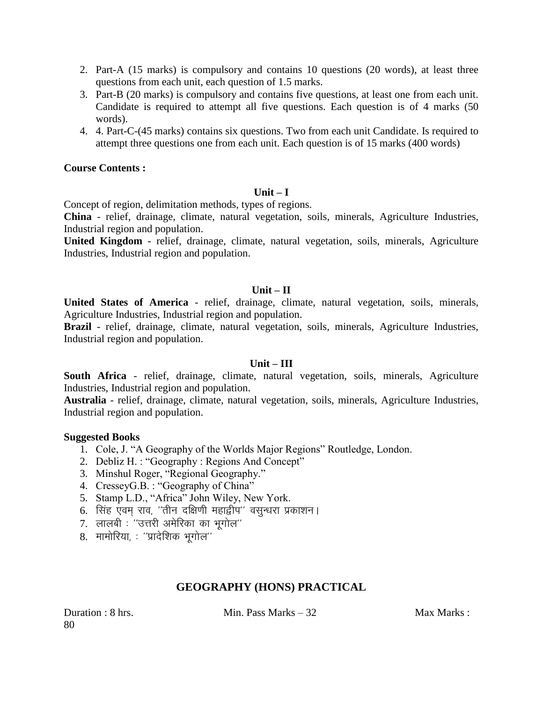- 2. Part-A (15 marks) is compulsory and contains 10 questions (20 words), at least three questions from each unit, each question of 1.5 marks.
- 3. Part-B (20 marks) is compulsory and contains five questions, at least one from each unit. Candidate is required to attempt all five questions. Each question is of 4 marks (50 words).
- 4. 4. Part-C-(45 marks) contains six questions. Two from each unit Candidate. Is required to attempt three questions one from each unit. Each question is of 15 marks (400 words)

# **Unit – I**

Concept of region, delimitation methods, types of regions.

**China** - relief, drainage, climate, natural vegetation, soils, minerals, Agriculture Industries, Industrial region and population.

**United Kingdom** - relief, drainage, climate, natural vegetation, soils, minerals, Agriculture Industries, Industrial region and population.

# **Unit – II**

**United States of America** - relief, drainage, climate, natural vegetation, soils, minerals, Agriculture Industries, Industrial region and population.

**Brazil** - relief, drainage, climate, natural vegetation, soils, minerals, Agriculture Industries, Industrial region and population.

# **Unit – III**

**South Africa** - relief, drainage, climate, natural vegetation, soils, minerals, Agriculture Industries, Industrial region and population.

**Australia** - relief, drainage, climate, natural vegetation, soils, minerals, Agriculture Industries, Industrial region and population.

#### **Suggested Books**

- 1. Cole, J. "A Geography of the Worlds Major Regions" Routledge, London.
- 2. Debliz H. : "Geography : Regions And Concept"
- 3. Minshul Roger, "Regional Geography."
- 4. CresseyG.B. : "Geography of China"
- 5. Stamp L.D., "Africa" John Wiley, New York.
- 6. सिंह एवम राव, ''तीन दक्षिणी महाद्वीप'' वसुन्धरा प्रकाशन।
- 7. लालबी : ''उत्तरी अमेरिका का भगोल''
- $8.$  मामोरिया, : "प्रादेशिक भगोल"

# **GEOGRAPHY (HONS) PRACTICAL**

80

Duration : 8 hrs. Min. Pass Marks – 32 Max Marks : Max Marks : Max Marks : Max Marks : Max Marks : M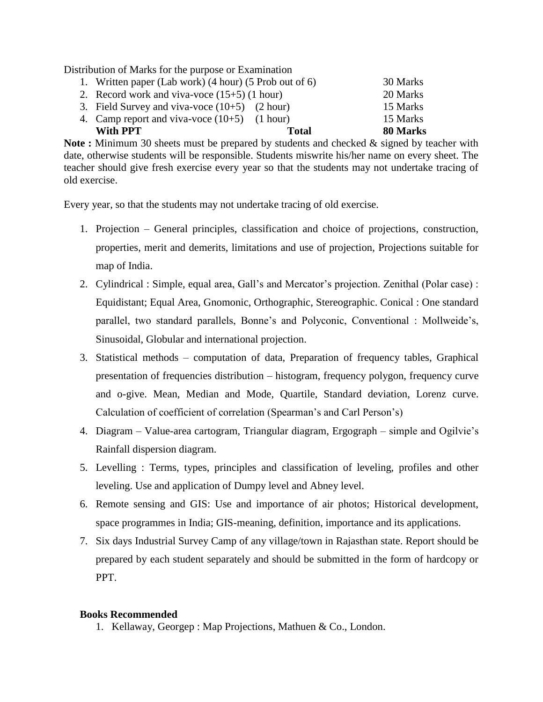Distribution of Marks for the purpose or Examination

| With PPT                                               | Total | 80 Marks |
|--------------------------------------------------------|-------|----------|
| 4. Camp report and viva-voce $(10+5)$ $(1 hour)$       |       | 15 Marks |
| 3. Field Survey and viva-voce $(10+5)$ $(2 hour)$      |       | 15 Marks |
| 2. Record work and viva-voce $(15+5)$ (1 hour)         |       | 20 Marks |
| 1. Written paper (Lab work) (4 hour) (5 Prob out of 6) |       | 30 Marks |

**Note :** Minimum 30 sheets must be prepared by students and checked & signed by teacher with date, otherwise students will be responsible. Students miswrite his/her name on every sheet. The teacher should give fresh exercise every year so that the students may not undertake tracing of old exercise.

Every year, so that the students may not undertake tracing of old exercise.

- 1. Projection General principles, classification and choice of projections, construction, properties, merit and demerits, limitations and use of projection, Projections suitable for map of India.
- 2. Cylindrical : Simple, equal area, Gall's and Mercator's projection. Zenithal (Polar case) : Equidistant; Equal Area, Gnomonic, Orthographic, Stereographic. Conical : One standard parallel, two standard parallels, Bonne's and Polyconic, Conventional : Mollweide's, Sinusoidal, Globular and international projection.
- 3. Statistical methods computation of data, Preparation of frequency tables, Graphical presentation of frequencies distribution – histogram, frequency polygon, frequency curve and o-give. Mean, Median and Mode, Quartile, Standard deviation, Lorenz curve. Calculation of coefficient of correlation (Spearman's and Carl Person's)
- 4. Diagram Value-area cartogram, Triangular diagram, Ergograph simple and Ogilvie's Rainfall dispersion diagram.
- 5. Levelling : Terms, types, principles and classification of leveling, profiles and other leveling. Use and application of Dumpy level and Abney level.
- 6. Remote sensing and GIS: Use and importance of air photos; Historical development, space programmes in India; GIS-meaning, definition, importance and its applications.
- 7. Six days Industrial Survey Camp of any village/town in Rajasthan state. Report should be prepared by each student separately and should be submitted in the form of hardcopy or PPT.

# **Books Recommended**

1. Kellaway, Georgep : Map Projections, Mathuen & Co., London.